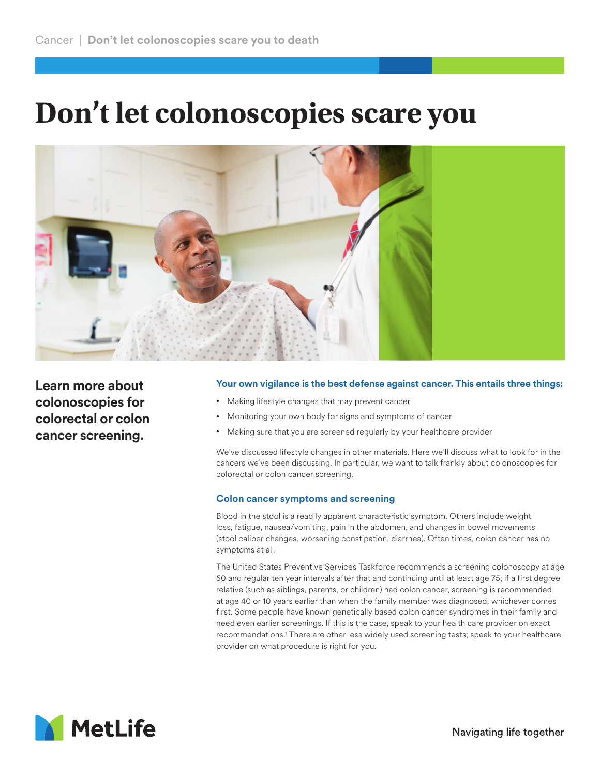## **Don't let colonoscopies scare you**



**Learn more about colonoscopies for colorectal or colon cancer screening.**

## **Your own vigilance is the best defense against cancer. This entails three things:**

- Making lifestyle changes that may prevent cancer
- Monitoring your own body for signs and symptoms of cancer
- Making sure that you are screened regularly by your healthcare provider

We've discussed lifestyle changes in other materials. Here we'll discuss what to look for in the cancers we've been discussing. In particular, we want to talk frankly about colonoscopies for colorectal or colon cancer screening.

## **Colon cancer symptoms and screening**

Blood in the stool is a readily apparent characteristic symptom. Others include weight loss, fatigue, nausea/vomiting, pain in the abdomen, and changes in bowel movements (stool caliber changes, worsening constipation, diarrhea). Often times, colon cancer has no symptoms at all.

The United States Preventive Services Taskforce recommends a screening colonoscopy at age 50 and regular ten year intervals after that and continuing until at least age 75; if a first degree relative (such as siblings, parents, or children) had colon cancer, screening is recommended at age 40 or 10 years earlier than when the family member was diagnosed, whichever comes first. Some people have known genetically based colon cancer syndromes in their family and need even earlier screenings. If this is the case, speak to your health care provider on exact recommendations.1 There are other less widely used screening tests; speak to your healthcare provider on what procedure is right for you.